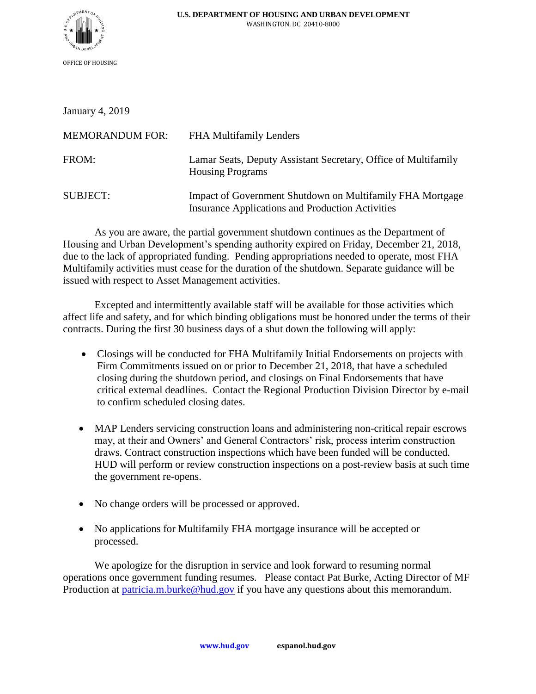

January 4, 2019

| <b>MEMORANDUM FOR:</b> | <b>FHA Multifamily Lenders</b>                                                                                       |
|------------------------|----------------------------------------------------------------------------------------------------------------------|
| FROM:                  | Lamar Seats, Deputy Assistant Secretary, Office of Multifamily<br><b>Housing Programs</b>                            |
| <b>SUBJECT:</b>        | Impact of Government Shutdown on Multifamily FHA Mortgage<br><b>Insurance Applications and Production Activities</b> |

As you are aware, the partial government shutdown continues as the Department of Housing and Urban Development's spending authority expired on Friday, December 21, 2018, due to the lack of appropriated funding. Pending appropriations needed to operate, most FHA Multifamily activities must cease for the duration of the shutdown. Separate guidance will be issued with respect to Asset Management activities.

Excepted and intermittently available staff will be available for those activities which affect life and safety, and for which binding obligations must be honored under the terms of their contracts. During the first 30 business days of a shut down the following will apply:

- Closings will be conducted for FHA Multifamily Initial Endorsements on projects with Firm Commitments issued on or prior to December 21, 2018, that have a scheduled closing during the shutdown period, and closings on Final Endorsements that have critical external deadlines. Contact the Regional Production Division Director by e-mail to confirm scheduled closing dates.
- MAP Lenders servicing construction loans and administering non-critical repair escrows may, at their and Owners' and General Contractors' risk, process interim construction draws. Contract construction inspections which have been funded will be conducted. HUD will perform or review construction inspections on a post-review basis at such time the government re-opens.
- No change orders will be processed or approved.
- No applications for Multifamily FHA mortgage insurance will be accepted or processed.

We apologize for the disruption in service and look forward to resuming normal operations once government funding resumes. Please contact Pat Burke, Acting Director of MF Production at [patricia.m.burke@hud.gov](mailto:patricia.m.burke@hud.gov) if you have any questions about this memorandum.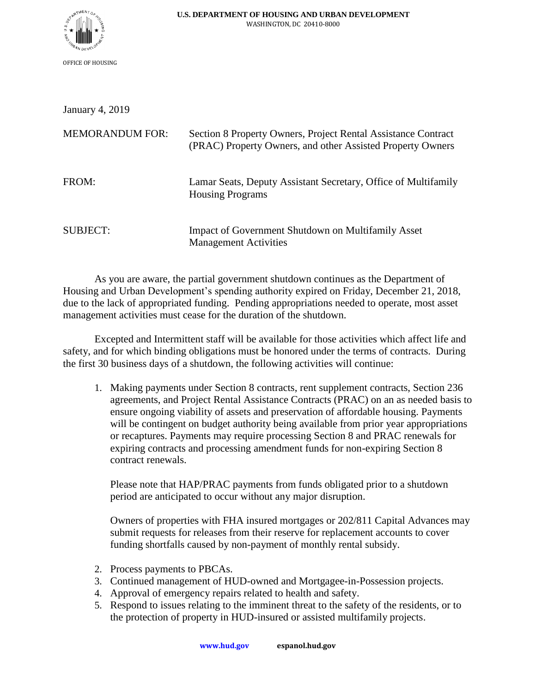

January 4, 2019

| <b>MEMORANDUM FOR:</b> | Section 8 Property Owners, Project Rental Assistance Contract<br>(PRAC) Property Owners, and other Assisted Property Owners |
|------------------------|-----------------------------------------------------------------------------------------------------------------------------|
| FROM:                  | Lamar Seats, Deputy Assistant Secretary, Office of Multifamily<br><b>Housing Programs</b>                                   |
| <b>SUBJECT:</b>        | <b>Impact of Government Shutdown on Multifamily Asset</b><br><b>Management Activities</b>                                   |

As you are aware, the partial government shutdown continues as the Department of Housing and Urban Development's spending authority expired on Friday, December 21, 2018, due to the lack of appropriated funding. Pending appropriations needed to operate, most asset management activities must cease for the duration of the shutdown.

Excepted and Intermittent staff will be available for those activities which affect life and safety, and for which binding obligations must be honored under the terms of contracts. During the first 30 business days of a shutdown, the following activities will continue:

1. Making payments under Section 8 contracts, rent supplement contracts, Section 236 agreements, and Project Rental Assistance Contracts (PRAC) on an as needed basis to ensure ongoing viability of assets and preservation of affordable housing. Payments will be contingent on budget authority being available from prior year appropriations or recaptures. Payments may require processing Section 8 and PRAC renewals for expiring contracts and processing amendment funds for non-expiring Section 8 contract renewals.

Please note that HAP/PRAC payments from funds obligated prior to a shutdown period are anticipated to occur without any major disruption.

Owners of properties with FHA insured mortgages or 202/811 Capital Advances may submit requests for releases from their reserve for replacement accounts to cover funding shortfalls caused by non-payment of monthly rental subsidy.

- 2. Process payments to PBCAs.
- 3. Continued management of HUD-owned and Mortgagee-in-Possession projects.
- 4. Approval of emergency repairs related to health and safety.
- 5. Respond to issues relating to the imminent threat to the safety of the residents, or to the protection of property in HUD-insured or assisted multifamily projects.